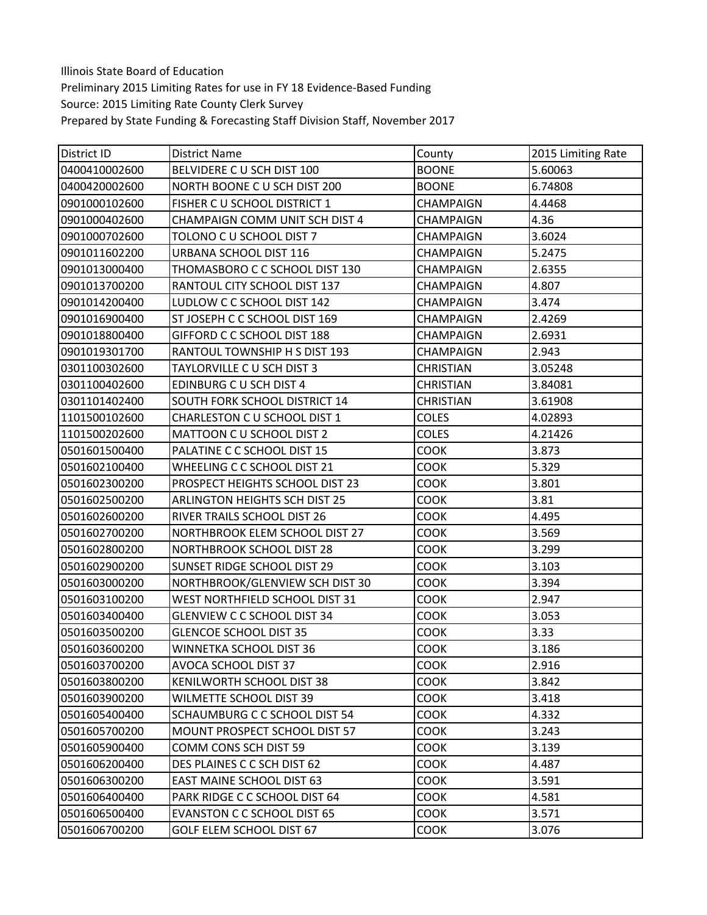Illinois State Board of Education Preliminary 2015 Limiting Rates for use in FY 18 Evidence‐Based Funding Source: 2015 Limiting Rate County Clerk Survey Prepared by State Funding & Forecasting Staff Division Staff, November 2017

| District ID   | <b>District Name</b>                 | County           | 2015 Limiting Rate |
|---------------|--------------------------------------|------------------|--------------------|
| 0400410002600 | BELVIDERE C U SCH DIST 100           | <b>BOONE</b>     | 5.60063            |
| 0400420002600 | NORTH BOONE C U SCH DIST 200         | <b>BOONE</b>     | 6.74808            |
| 0901000102600 | FISHER C U SCHOOL DISTRICT 1         | <b>CHAMPAIGN</b> | 4.4468             |
| 0901000402600 | CHAMPAIGN COMM UNIT SCH DIST 4       | <b>CHAMPAIGN</b> | 4.36               |
| 0901000702600 | TOLONO C U SCHOOL DIST 7             | <b>CHAMPAIGN</b> | 3.6024             |
| 0901011602200 | URBANA SCHOOL DIST 116               | CHAMPAIGN        | 5.2475             |
| 0901013000400 | THOMASBORO C C SCHOOL DIST 130       | CHAMPAIGN        | 2.6355             |
| 0901013700200 | RANTOUL CITY SCHOOL DIST 137         | <b>CHAMPAIGN</b> | 4.807              |
| 0901014200400 | LUDLOW C C SCHOOL DIST 142           | <b>CHAMPAIGN</b> | 3.474              |
| 0901016900400 | ST JOSEPH C C SCHOOL DIST 169        | <b>CHAMPAIGN</b> | 2.4269             |
| 0901018800400 | GIFFORD C C SCHOOL DIST 188          | <b>CHAMPAIGN</b> | 2.6931             |
| 0901019301700 | RANTOUL TOWNSHIP H S DIST 193        | <b>CHAMPAIGN</b> | 2.943              |
| 0301100302600 | TAYLORVILLE C U SCH DIST 3           | <b>CHRISTIAN</b> | 3.05248            |
| 0301100402600 | EDINBURG C U SCH DIST 4              | <b>CHRISTIAN</b> | 3.84081            |
| 0301101402400 | SOUTH FORK SCHOOL DISTRICT 14        | <b>CHRISTIAN</b> | 3.61908            |
| 1101500102600 | CHARLESTON C U SCHOOL DIST 1         | <b>COLES</b>     | 4.02893            |
| 1101500202600 | MATTOON C U SCHOOL DIST 2            | <b>COLES</b>     | 4.21426            |
| 0501601500400 | PALATINE C C SCHOOL DIST 15          | <b>COOK</b>      | 3.873              |
| 0501602100400 | WHEELING C C SCHOOL DIST 21          | COOK             | 5.329              |
| 0501602300200 | PROSPECT HEIGHTS SCHOOL DIST 23      | <b>COOK</b>      | 3.801              |
| 0501602500200 | <b>ARLINGTON HEIGHTS SCH DIST 25</b> | <b>COOK</b>      | 3.81               |
| 0501602600200 | RIVER TRAILS SCHOOL DIST 26          | COOK             | 4.495              |
| 0501602700200 | NORTHBROOK ELEM SCHOOL DIST 27       | <b>COOK</b>      | 3.569              |
| 0501602800200 | NORTHBROOK SCHOOL DIST 28            | <b>COOK</b>      | 3.299              |
| 0501602900200 | SUNSET RIDGE SCHOOL DIST 29          | <b>COOK</b>      | 3.103              |
| 0501603000200 | NORTHBROOK/GLENVIEW SCH DIST 30      | <b>COOK</b>      | 3.394              |
| 0501603100200 | WEST NORTHFIELD SCHOOL DIST 31       | COOK             | 2.947              |
| 0501603400400 | <b>GLENVIEW C C SCHOOL DIST 34</b>   | <b>COOK</b>      | 3.053              |
| 0501603500200 | <b>GLENCOE SCHOOL DIST 35</b>        | <b>COOK</b>      | 3.33               |
| 0501603600200 | WINNETKA SCHOOL DIST 36              | <b>COOK</b>      | 3.186              |
| 0501603700200 | AVOCA SCHOOL DIST 37                 | <b>COOK</b>      | 2.916              |
| 0501603800200 | KENILWORTH SCHOOL DIST 38            | <b>COOK</b>      | 3.842              |
| 0501603900200 | WILMETTE SCHOOL DIST 39              | <b>COOK</b>      | 3.418              |
| 0501605400400 | SCHAUMBURG C C SCHOOL DIST 54        | COOK             | 4.332              |
| 0501605700200 | MOUNT PROSPECT SCHOOL DIST 57        | <b>COOK</b>      | 3.243              |
| 0501605900400 | COMM CONS SCH DIST 59                | <b>COOK</b>      | 3.139              |
| 0501606200400 | DES PLAINES C C SCH DIST 62          | <b>COOK</b>      | 4.487              |
| 0501606300200 | <b>EAST MAINE SCHOOL DIST 63</b>     | <b>COOK</b>      | 3.591              |
| 0501606400400 | PARK RIDGE C C SCHOOL DIST 64        | <b>COOK</b>      | 4.581              |
| 0501606500400 | EVANSTON C C SCHOOL DIST 65          | <b>COOK</b>      | 3.571              |
| 0501606700200 | GOLF ELEM SCHOOL DIST 67             | <b>COOK</b>      | 3.076              |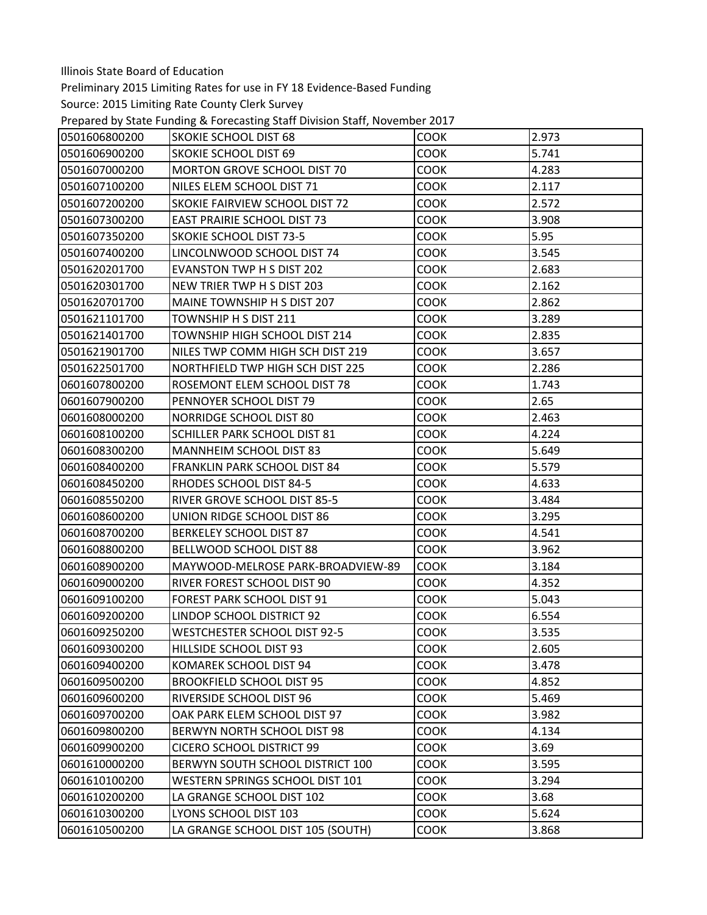Preliminary 2015 Limiting Rates for use in FY 18 Evidence‐Based Funding

Prepared by State Funding & Forecasting Staff Division Staff, November 2017

| 0501606800200 | <b>SKOKIE SCHOOL DIST 68</b>        | <b>COOK</b> | 2.973 |
|---------------|-------------------------------------|-------------|-------|
| 0501606900200 | <b>SKOKIE SCHOOL DIST 69</b>        | <b>COOK</b> | 5.741 |
| 0501607000200 | MORTON GROVE SCHOOL DIST 70         | <b>COOK</b> | 4.283 |
| 0501607100200 | NILES ELEM SCHOOL DIST 71           | <b>COOK</b> | 2.117 |
| 0501607200200 | SKOKIE FAIRVIEW SCHOOL DIST 72      | <b>COOK</b> | 2.572 |
| 0501607300200 | <b>EAST PRAIRIE SCHOOL DIST 73</b>  | <b>COOK</b> | 3.908 |
| 0501607350200 | <b>SKOKIE SCHOOL DIST 73-5</b>      | <b>COOK</b> | 5.95  |
| 0501607400200 | LINCOLNWOOD SCHOOL DIST 74          | <b>COOK</b> | 3.545 |
| 0501620201700 | <b>EVANSTON TWP H S DIST 202</b>    | <b>COOK</b> | 2.683 |
| 0501620301700 | NEW TRIER TWP H S DIST 203          | <b>COOK</b> | 2.162 |
| 0501620701700 | MAINE TOWNSHIP H S DIST 207         | <b>COOK</b> | 2.862 |
| 0501621101700 | TOWNSHIP H S DIST 211               | <b>COOK</b> | 3.289 |
| 0501621401700 | TOWNSHIP HIGH SCHOOL DIST 214       | <b>COOK</b> | 2.835 |
| 0501621901700 | NILES TWP COMM HIGH SCH DIST 219    | COOK        | 3.657 |
| 0501622501700 | NORTHFIELD TWP HIGH SCH DIST 225    | <b>COOK</b> | 2.286 |
| 0601607800200 | ROSEMONT ELEM SCHOOL DIST 78        | <b>COOK</b> | 1.743 |
| 0601607900200 | PENNOYER SCHOOL DIST 79             | <b>COOK</b> | 2.65  |
| 0601608000200 | <b>NORRIDGE SCHOOL DIST 80</b>      | <b>COOK</b> | 2.463 |
| 0601608100200 | <b>SCHILLER PARK SCHOOL DIST 81</b> | <b>COOK</b> | 4.224 |
| 0601608300200 | <b>MANNHEIM SCHOOL DIST 83</b>      | <b>COOK</b> | 5.649 |
| 0601608400200 | FRANKLIN PARK SCHOOL DIST 84        | <b>COOK</b> | 5.579 |
| 0601608450200 | RHODES SCHOOL DIST 84-5             | <b>COOK</b> | 4.633 |
| 0601608550200 | RIVER GROVE SCHOOL DIST 85-5        | <b>COOK</b> | 3.484 |
| 0601608600200 | UNION RIDGE SCHOOL DIST 86          | <b>COOK</b> | 3.295 |
| 0601608700200 | <b>BERKELEY SCHOOL DIST 87</b>      | <b>COOK</b> | 4.541 |
| 0601608800200 | BELLWOOD SCHOOL DIST 88             | <b>COOK</b> | 3.962 |
| 0601608900200 | MAYWOOD-MELROSE PARK-BROADVIEW-89   | <b>COOK</b> | 3.184 |
| 0601609000200 | RIVER FOREST SCHOOL DIST 90         | <b>COOK</b> | 4.352 |
| 0601609100200 | FOREST PARK SCHOOL DIST 91          | <b>COOK</b> | 5.043 |
| 0601609200200 | LINDOP SCHOOL DISTRICT 92           | <b>COOK</b> | 6.554 |
| 0601609250200 | <b>WESTCHESTER SCHOOL DIST 92-5</b> | <b>COOK</b> | 3.535 |
| 0601609300200 | HILLSIDE SCHOOL DIST 93             | COOK        | 2.605 |
| 0601609400200 | KOMAREK SCHOOL DIST 94              | <b>COOK</b> | 3.478 |
| 0601609500200 | <b>BROOKFIELD SCHOOL DIST 95</b>    | <b>COOK</b> | 4.852 |
| 0601609600200 | RIVERSIDE SCHOOL DIST 96            | <b>COOK</b> | 5.469 |
| 0601609700200 | OAK PARK ELEM SCHOOL DIST 97        | <b>COOK</b> | 3.982 |
| 0601609800200 | BERWYN NORTH SCHOOL DIST 98         | <b>COOK</b> | 4.134 |
| 0601609900200 | <b>CICERO SCHOOL DISTRICT 99</b>    | <b>COOK</b> | 3.69  |
| 0601610000200 | BERWYN SOUTH SCHOOL DISTRICT 100    | <b>COOK</b> | 3.595 |
| 0601610100200 | WESTERN SPRINGS SCHOOL DIST 101     | <b>COOK</b> | 3.294 |
| 0601610200200 | LA GRANGE SCHOOL DIST 102           | COOK        | 3.68  |
| 0601610300200 | LYONS SCHOOL DIST 103               | <b>COOK</b> | 5.624 |
| 0601610500200 | LA GRANGE SCHOOL DIST 105 (SOUTH)   | <b>COOK</b> | 3.868 |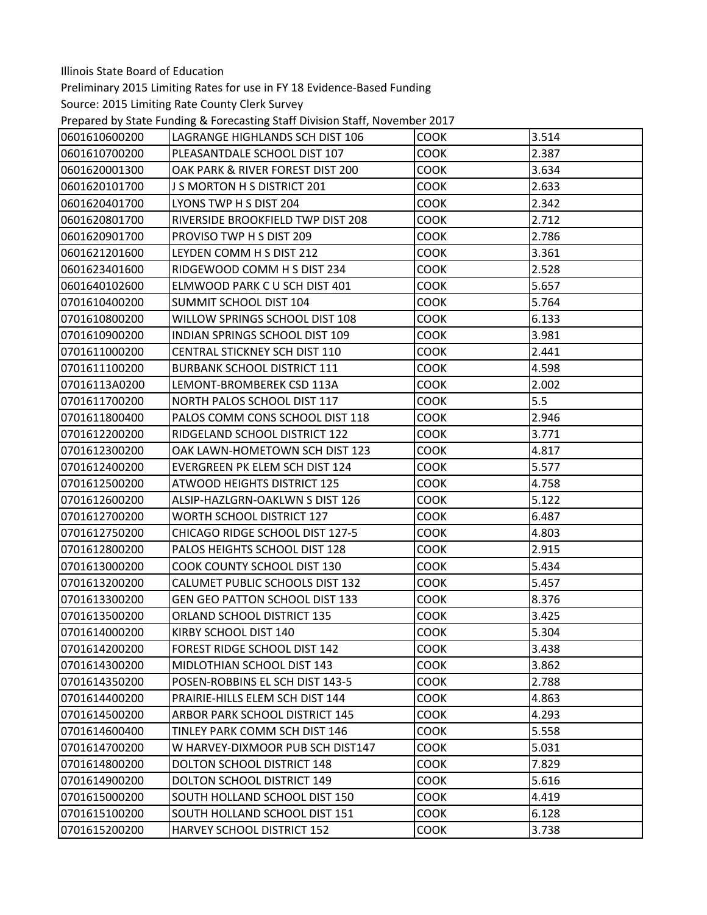Preliminary 2015 Limiting Rates for use in FY 18 Evidence‐Based Funding

Prepared by State Funding & Forecasting Staff Division Staff, November 2017

| 0601610600200 | LAGRANGE HIGHLANDS SCH DIST 106       | <b>COOK</b> | 3.514 |
|---------------|---------------------------------------|-------------|-------|
| 0601610700200 | PLEASANTDALE SCHOOL DIST 107          | <b>COOK</b> | 2.387 |
| 0601620001300 | OAK PARK & RIVER FOREST DIST 200      | <b>COOK</b> | 3.634 |
| 0601620101700 | J S MORTON H S DISTRICT 201           | <b>COOK</b> | 2.633 |
| 0601620401700 | LYONS TWP H S DIST 204                | <b>COOK</b> | 2.342 |
| 0601620801700 | RIVERSIDE BROOKFIELD TWP DIST 208     | <b>COOK</b> | 2.712 |
| 0601620901700 | PROVISO TWP H S DIST 209              | <b>COOK</b> | 2.786 |
| 0601621201600 | LEYDEN COMM H S DIST 212              | <b>COOK</b> | 3.361 |
| 0601623401600 | RIDGEWOOD COMM H S DIST 234           | <b>COOK</b> | 2.528 |
| 0601640102600 | ELMWOOD PARK C U SCH DIST 401         | <b>COOK</b> | 5.657 |
| 0701610400200 | SUMMIT SCHOOL DIST 104                | <b>COOK</b> | 5.764 |
| 0701610800200 | WILLOW SPRINGS SCHOOL DIST 108        | <b>COOK</b> | 6.133 |
| 0701610900200 | INDIAN SPRINGS SCHOOL DIST 109        | <b>COOK</b> | 3.981 |
| 0701611000200 | <b>CENTRAL STICKNEY SCH DIST 110</b>  | <b>COOK</b> | 2.441 |
| 0701611100200 | <b>BURBANK SCHOOL DISTRICT 111</b>    | <b>COOK</b> | 4.598 |
| 07016113A0200 | LEMONT-BROMBEREK CSD 113A             | <b>COOK</b> | 2.002 |
| 0701611700200 | NORTH PALOS SCHOOL DIST 117           | <b>COOK</b> | 5.5   |
| 0701611800400 | PALOS COMM CONS SCHOOL DIST 118       | <b>COOK</b> | 2.946 |
| 0701612200200 | RIDGELAND SCHOOL DISTRICT 122         | <b>COOK</b> | 3.771 |
| 0701612300200 | OAK LAWN-HOMETOWN SCH DIST 123        | <b>COOK</b> | 4.817 |
| 0701612400200 | EVERGREEN PK ELEM SCH DIST 124        | <b>COOK</b> | 5.577 |
| 0701612500200 | ATWOOD HEIGHTS DISTRICT 125           | <b>COOK</b> | 4.758 |
| 0701612600200 | ALSIP-HAZLGRN-OAKLWN S DIST 126       | <b>COOK</b> | 5.122 |
| 0701612700200 | <b>WORTH SCHOOL DISTRICT 127</b>      | <b>COOK</b> | 6.487 |
| 0701612750200 | CHICAGO RIDGE SCHOOL DIST 127-5       | <b>COOK</b> | 4.803 |
| 0701612800200 | PALOS HEIGHTS SCHOOL DIST 128         | <b>COOK</b> | 2.915 |
| 0701613000200 | COOK COUNTY SCHOOL DIST 130           | <b>COOK</b> | 5.434 |
| 0701613200200 | CALUMET PUBLIC SCHOOLS DIST 132       | <b>COOK</b> | 5.457 |
| 0701613300200 | <b>GEN GEO PATTON SCHOOL DIST 133</b> | <b>COOK</b> | 8.376 |
| 0701613500200 | ORLAND SCHOOL DISTRICT 135            | <b>COOK</b> | 3.425 |
| 0701614000200 | KIRBY SCHOOL DIST 140                 | COOK        | 5.304 |
| 0701614200200 | FOREST RIDGE SCHOOL DIST 142          | <b>COOK</b> | 3.438 |
| 0701614300200 | MIDLOTHIAN SCHOOL DIST 143            | <b>COOK</b> | 3.862 |
| 0701614350200 | POSEN-ROBBINS EL SCH DIST 143-5       | <b>COOK</b> | 2.788 |
| 0701614400200 | PRAIRIE-HILLS ELEM SCH DIST 144       | <b>COOK</b> | 4.863 |
| 0701614500200 | <b>ARBOR PARK SCHOOL DISTRICT 145</b> | <b>COOK</b> | 4.293 |
| 0701614600400 | TINLEY PARK COMM SCH DIST 146         | <b>COOK</b> | 5.558 |
| 0701614700200 | W HARVEY-DIXMOOR PUB SCH DIST147      | <b>COOK</b> | 5.031 |
| 0701614800200 | <b>DOLTON SCHOOL DISTRICT 148</b>     | <b>COOK</b> | 7.829 |
| 0701614900200 | DOLTON SCHOOL DISTRICT 149            | <b>COOK</b> | 5.616 |
| 0701615000200 | SOUTH HOLLAND SCHOOL DIST 150         | <b>COOK</b> | 4.419 |
| 0701615100200 | SOUTH HOLLAND SCHOOL DIST 151         | <b>COOK</b> | 6.128 |
| 0701615200200 | <b>HARVEY SCHOOL DISTRICT 152</b>     | <b>COOK</b> | 3.738 |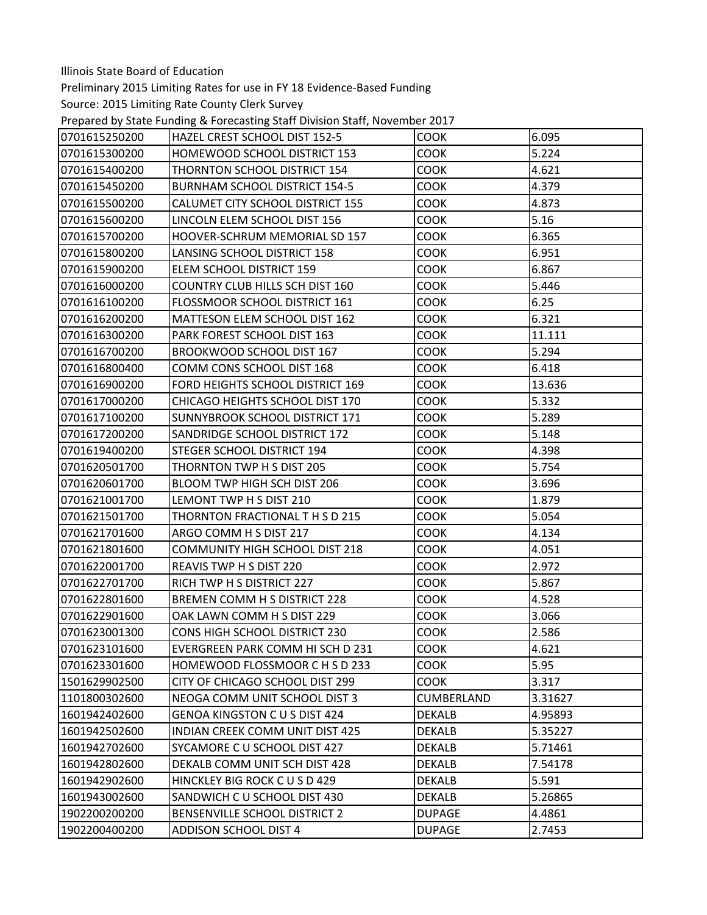Preliminary 2015 Limiting Rates for use in FY 18 Evidence‐Based Funding

Prepared by State Funding & Forecasting Staff Division Staff, November 2017

| 0701615250200 | HAZEL CREST SCHOOL DIST 152-5          | <b>COOK</b>   | 6.095   |
|---------------|----------------------------------------|---------------|---------|
| 0701615300200 | HOMEWOOD SCHOOL DISTRICT 153           | <b>COOK</b>   | 5.224   |
| 0701615400200 | THORNTON SCHOOL DISTRICT 154           | <b>COOK</b>   | 4.621   |
| 0701615450200 | <b>BURNHAM SCHOOL DISTRICT 154-5</b>   | <b>COOK</b>   | 4.379   |
| 0701615500200 | CALUMET CITY SCHOOL DISTRICT 155       | <b>COOK</b>   | 4.873   |
| 0701615600200 | LINCOLN ELEM SCHOOL DIST 156           | <b>COOK</b>   | 5.16    |
| 0701615700200 | <b>HOOVER-SCHRUM MEMORIAL SD 157</b>   | <b>COOK</b>   | 6.365   |
| 0701615800200 | LANSING SCHOOL DISTRICT 158            | <b>COOK</b>   | 6.951   |
| 0701615900200 | ELEM SCHOOL DISTRICT 159               | <b>COOK</b>   | 6.867   |
| 0701616000200 | <b>COUNTRY CLUB HILLS SCH DIST 160</b> | <b>COOK</b>   | 5.446   |
| 0701616100200 | FLOSSMOOR SCHOOL DISTRICT 161          | <b>COOK</b>   | 6.25    |
| 0701616200200 | MATTESON ELEM SCHOOL DIST 162          | <b>COOK</b>   | 6.321   |
| 0701616300200 | PARK FOREST SCHOOL DIST 163            | <b>COOK</b>   | 11.111  |
| 0701616700200 | BROOKWOOD SCHOOL DIST 167              | <b>COOK</b>   | 5.294   |
| 0701616800400 | COMM CONS SCHOOL DIST 168              | <b>COOK</b>   | 6.418   |
| 0701616900200 | FORD HEIGHTS SCHOOL DISTRICT 169       | <b>COOK</b>   | 13.636  |
| 0701617000200 | CHICAGO HEIGHTS SCHOOL DIST 170        | <b>COOK</b>   | 5.332   |
| 0701617100200 | SUNNYBROOK SCHOOL DISTRICT 171         | <b>COOK</b>   | 5.289   |
| 0701617200200 | SANDRIDGE SCHOOL DISTRICT 172          | <b>COOK</b>   | 5.148   |
| 0701619400200 | STEGER SCHOOL DISTRICT 194             | <b>COOK</b>   | 4.398   |
| 0701620501700 | THORNTON TWP H S DIST 205              | <b>COOK</b>   | 5.754   |
| 0701620601700 | BLOOM TWP HIGH SCH DIST 206            | <b>COOK</b>   | 3.696   |
| 0701621001700 | LEMONT TWP H S DIST 210                | <b>COOK</b>   | 1.879   |
| 0701621501700 | THORNTON FRACTIONAL THSD 215           | <b>COOK</b>   | 5.054   |
| 0701621701600 | ARGO COMM H S DIST 217                 | <b>COOK</b>   | 4.134   |
| 0701621801600 | <b>COMMUNITY HIGH SCHOOL DIST 218</b>  | <b>COOK</b>   | 4.051   |
| 0701622001700 | REAVIS TWP H S DIST 220                | <b>COOK</b>   | 2.972   |
| 0701622701700 | RICH TWP H S DISTRICT 227              | <b>COOK</b>   | 5.867   |
| 0701622801600 | <b>BREMEN COMM H S DISTRICT 228</b>    | <b>COOK</b>   | 4.528   |
| 0701622901600 | OAK LAWN COMM H S DIST 229             | <b>COOK</b>   | 3.066   |
| 0701623001300 | CONS HIGH SCHOOL DISTRICT 230          | <b>COOK</b>   | 2.586   |
| 0701623101600 | EVERGREEN PARK COMM HI SCH D 231       | COOK          | 4.621   |
| 0701623301600 | HOMEWOOD FLOSSMOOR C H S D 233         | <b>COOK</b>   | 5.95    |
| 1501629902500 | CITY OF CHICAGO SCHOOL DIST 299        | <b>COOK</b>   | 3.317   |
| 1101800302600 | NEOGA COMM UNIT SCHOOL DIST 3          | CUMBERLAND    | 3.31627 |
| 1601942402600 | <b>GENOA KINGSTON C U S DIST 424</b>   | <b>DEKALB</b> | 4.95893 |
| 1601942502600 | <b>INDIAN CREEK COMM UNIT DIST 425</b> | <b>DEKALB</b> | 5.35227 |
| 1601942702600 | SYCAMORE C U SCHOOL DIST 427           | <b>DEKALB</b> | 5.71461 |
| 1601942802600 | DEKALB COMM UNIT SCH DIST 428          | <b>DEKALB</b> | 7.54178 |
| 1601942902600 | HINCKLEY BIG ROCK C U S D 429          | <b>DEKALB</b> | 5.591   |
| 1601943002600 | SANDWICH C U SCHOOL DIST 430           | <b>DEKALB</b> | 5.26865 |
| 1902200200200 | <b>BENSENVILLE SCHOOL DISTRICT 2</b>   | <b>DUPAGE</b> | 4.4861  |
| 1902200400200 | <b>ADDISON SCHOOL DIST 4</b>           | <b>DUPAGE</b> | 2.7453  |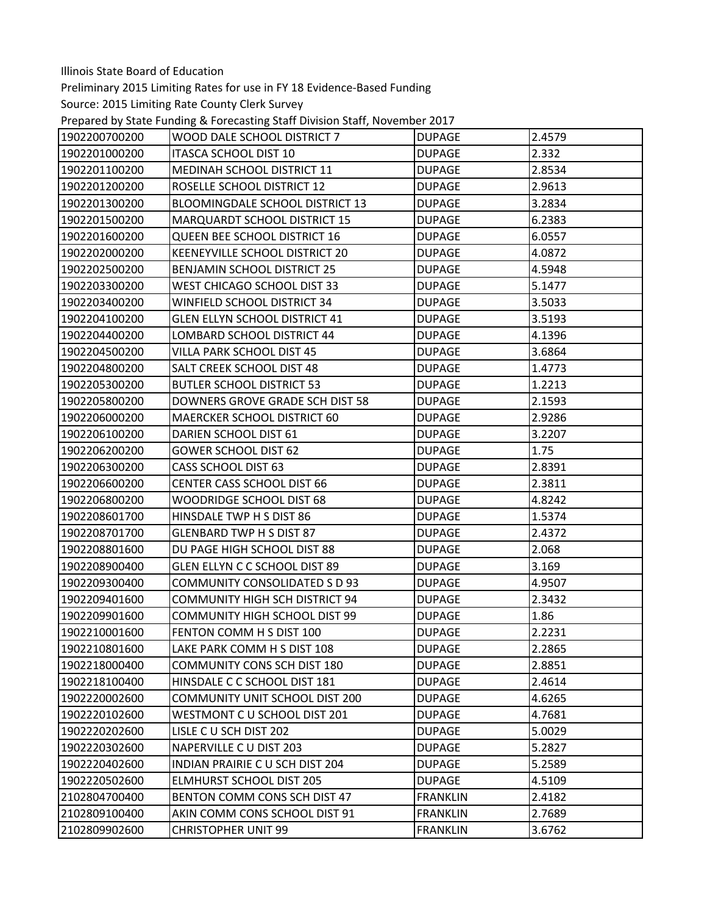Preliminary 2015 Limiting Rates for use in FY 18 Evidence‐Based Funding

Prepared by State Funding & Forecasting Staff Division Staff, November 2017

| 1902200700200 | WOOD DALE SCHOOL DISTRICT 7            | <b>DUPAGE</b>   | 2.4579 |
|---------------|----------------------------------------|-----------------|--------|
| 1902201000200 | ITASCA SCHOOL DIST 10                  | <b>DUPAGE</b>   | 2.332  |
| 1902201100200 | MEDINAH SCHOOL DISTRICT 11             | <b>DUPAGE</b>   | 2.8534 |
| 1902201200200 | ROSELLE SCHOOL DISTRICT 12             | <b>DUPAGE</b>   | 2.9613 |
| 1902201300200 | <b>BLOOMINGDALE SCHOOL DISTRICT 13</b> | <b>DUPAGE</b>   | 3.2834 |
| 1902201500200 | MARQUARDT SCHOOL DISTRICT 15           | <b>DUPAGE</b>   | 6.2383 |
| 1902201600200 | QUEEN BEE SCHOOL DISTRICT 16           | <b>DUPAGE</b>   | 6.0557 |
| 1902202000200 | KEENEYVILLE SCHOOL DISTRICT 20         | <b>DUPAGE</b>   | 4.0872 |
| 1902202500200 | <b>BENJAMIN SCHOOL DISTRICT 25</b>     | <b>DUPAGE</b>   | 4.5948 |
| 1902203300200 | WEST CHICAGO SCHOOL DIST 33            | <b>DUPAGE</b>   | 5.1477 |
| 1902203400200 | WINFIELD SCHOOL DISTRICT 34            | <b>DUPAGE</b>   | 3.5033 |
| 1902204100200 | <b>GLEN ELLYN SCHOOL DISTRICT 41</b>   | <b>DUPAGE</b>   | 3.5193 |
| 1902204400200 | LOMBARD SCHOOL DISTRICT 44             | <b>DUPAGE</b>   | 4.1396 |
| 1902204500200 | VILLA PARK SCHOOL DIST 45              | <b>DUPAGE</b>   | 3.6864 |
| 1902204800200 | SALT CREEK SCHOOL DIST 48              | <b>DUPAGE</b>   | 1.4773 |
| 1902205300200 | <b>BUTLER SCHOOL DISTRICT 53</b>       | <b>DUPAGE</b>   | 1.2213 |
| 1902205800200 | DOWNERS GROVE GRADE SCH DIST 58        | <b>DUPAGE</b>   | 2.1593 |
| 1902206000200 | MAERCKER SCHOOL DISTRICT 60            | <b>DUPAGE</b>   | 2.9286 |
| 1902206100200 | DARIEN SCHOOL DIST 61                  | <b>DUPAGE</b>   | 3.2207 |
| 1902206200200 | <b>GOWER SCHOOL DIST 62</b>            | <b>DUPAGE</b>   | 1.75   |
| 1902206300200 | CASS SCHOOL DIST 63                    | <b>DUPAGE</b>   | 2.8391 |
| 1902206600200 | CENTER CASS SCHOOL DIST 66             | <b>DUPAGE</b>   | 2.3811 |
| 1902206800200 | WOODRIDGE SCHOOL DIST 68               | <b>DUPAGE</b>   | 4.8242 |
| 1902208601700 | HINSDALE TWP H S DIST 86               | <b>DUPAGE</b>   | 1.5374 |
| 1902208701700 | <b>GLENBARD TWP H S DIST 87</b>        | <b>DUPAGE</b>   | 2.4372 |
| 1902208801600 | DU PAGE HIGH SCHOOL DIST 88            | <b>DUPAGE</b>   | 2.068  |
| 1902208900400 | GLEN ELLYN C C SCHOOL DIST 89          | <b>DUPAGE</b>   | 3.169  |
| 1902209300400 | <b>COMMUNITY CONSOLIDATED S D 93</b>   | <b>DUPAGE</b>   | 4.9507 |
| 1902209401600 | <b>COMMUNITY HIGH SCH DISTRICT 94</b>  | <b>DUPAGE</b>   | 2.3432 |
| 1902209901600 | <b>COMMUNITY HIGH SCHOOL DIST 99</b>   | <b>DUPAGE</b>   | 1.86   |
| 1902210001600 | FENTON COMM H S DIST 100               | <b>DUPAGE</b>   | 2.2231 |
| 1902210801600 | LAKE PARK COMM H S DIST 108            | <b>DUPAGE</b>   | 2.2865 |
| 1902218000400 | <b>COMMUNITY CONS SCH DIST 180</b>     | <b>DUPAGE</b>   | 2.8851 |
| 1902218100400 | HINSDALE C C SCHOOL DIST 181           | <b>DUPAGE</b>   | 2.4614 |
| 1902220002600 | <b>COMMUNITY UNIT SCHOOL DIST 200</b>  | <b>DUPAGE</b>   | 4.6265 |
| 1902220102600 | WESTMONT C U SCHOOL DIST 201           | <b>DUPAGE</b>   | 4.7681 |
| 1902220202600 | LISLE C U SCH DIST 202                 | <b>DUPAGE</b>   | 5.0029 |
| 1902220302600 | NAPERVILLE C U DIST 203                | <b>DUPAGE</b>   | 5.2827 |
| 1902220402600 | INDIAN PRAIRIE C U SCH DIST 204        | <b>DUPAGE</b>   | 5.2589 |
| 1902220502600 | <b>ELMHURST SCHOOL DIST 205</b>        | <b>DUPAGE</b>   | 4.5109 |
| 2102804700400 | BENTON COMM CONS SCH DIST 47           | <b>FRANKLIN</b> | 2.4182 |
| 2102809100400 | AKIN COMM CONS SCHOOL DIST 91          | <b>FRANKLIN</b> | 2.7689 |
| 2102809902600 | <b>CHRISTOPHER UNIT 99</b>             | <b>FRANKLIN</b> | 3.6762 |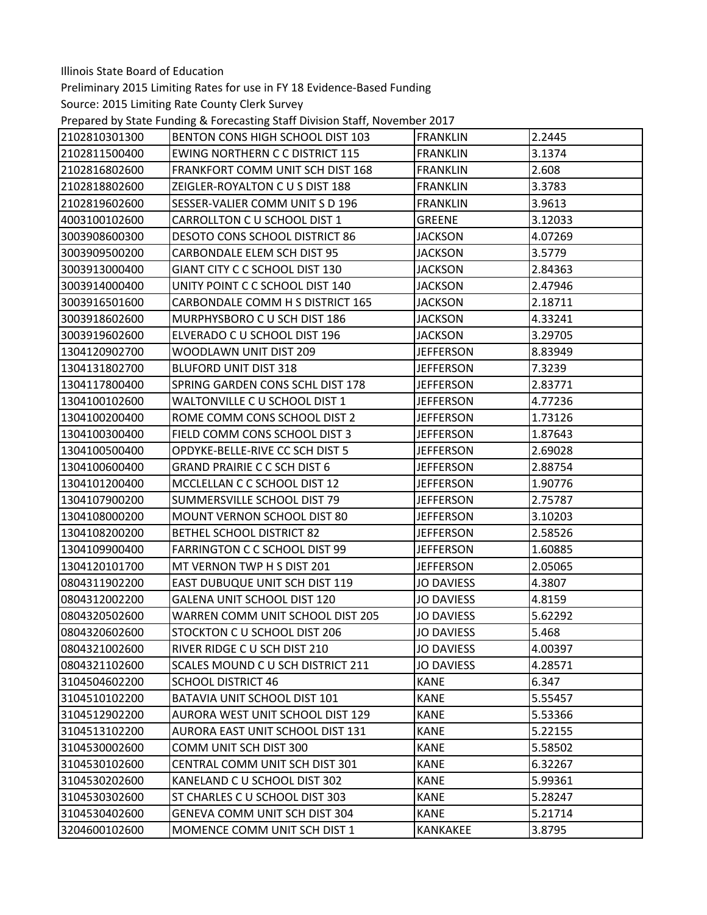Preliminary 2015 Limiting Rates for use in FY 18 Evidence‐Based Funding

Prepared by State Funding & Forecasting Staff Division Staff, November 2017

| BENTON CONS HIGH SCHOOL DIST 103<br>2102811500400<br><b>FRANKLIN</b><br>3.1374<br><b>EWING NORTHERN C C DISTRICT 115</b><br>2102816802600<br>FRANKFORT COMM UNIT SCH DIST 168<br><b>FRANKLIN</b><br>2.608<br>3.3783<br>2102818802600<br>ZEIGLER-ROYALTON C U S DIST 188<br><b>FRANKLIN</b><br>3.9613<br>2102819602600<br>SESSER-VALIER COMM UNITS D 196<br><b>FRANKLIN</b><br>4003100102600<br>CARROLLTON C U SCHOOL DIST 1<br><b>GREENE</b><br>3.12033<br>3003908600300<br><b>DESOTO CONS SCHOOL DISTRICT 86</b><br><b>JACKSON</b><br>4.07269<br>3003909500200<br>3.5779<br><b>CARBONDALE ELEM SCH DIST 95</b><br><b>JACKSON</b><br>3003913000400<br>GIANT CITY C C SCHOOL DIST 130<br><b>JACKSON</b><br>2.84363<br>UNITY POINT C C SCHOOL DIST 140<br>2.47946<br>3003914000400<br>JACKSON<br>CARBONDALE COMM H S DISTRICT 165<br>3003916501600<br><b>JACKSON</b><br>2.18711<br>4.33241<br>3003918602600<br>MURPHYSBORO C U SCH DIST 186<br><b>JACKSON</b><br>3.29705<br>3003919602600<br>ELVERADO C U SCHOOL DIST 196<br><b>JACKSON</b><br>1304120902700<br>WOODLAWN UNIT DIST 209<br><b>JEFFERSON</b><br>8.83949<br>1304131802700<br><b>BLUFORD UNIT DIST 318</b><br>7.3239<br><b>JEFFERSON</b><br>SPRING GARDEN CONS SCHL DIST 178<br>1304117800400<br><b>JEFFERSON</b><br>2.83771<br>4.77236<br>1304100102600<br>WALTONVILLE C U SCHOOL DIST 1<br><b>JEFFERSON</b><br>1304100200400<br>ROME COMM CONS SCHOOL DIST 2<br><b>JEFFERSON</b><br>1.73126<br>1304100300400<br>FIELD COMM CONS SCHOOL DIST 3<br><b>JEFFERSON</b><br>1.87643<br>OPDYKE-BELLE-RIVE CC SCH DIST 5<br><b>JEFFERSON</b><br>2.69028<br>1304100500400<br>1304100600400<br><b>GRAND PRAIRIE C C SCH DIST 6</b><br><b>JEFFERSON</b><br>2.88754<br>1304101200400<br>MCCLELLAN C C SCHOOL DIST 12<br><b>JEFFERSON</b><br>1.90776<br>1304107900200<br>SUMMERSVILLE SCHOOL DIST 79<br>2.75787<br><b>JEFFERSON</b><br>1304108000200<br>MOUNT VERNON SCHOOL DIST 80<br><b>JEFFERSON</b><br>3.10203<br><b>BETHEL SCHOOL DISTRICT 82</b><br><b>JEFFERSON</b><br>2.58526<br>1304108200200<br>1.60885<br>1304109900400<br><b>FARRINGTON C C SCHOOL DIST 99</b><br><b>JEFFERSON</b><br>1304120101700<br>MT VERNON TWP H S DIST 201<br>2.05065<br><b>JEFFERSON</b><br>0804311902200<br>EAST DUBUQUE UNIT SCH DIST 119<br><b>JO DAVIESS</b><br>4.3807<br>0804312002200<br>GALENA UNIT SCHOOL DIST 120<br><b>JO DAVIESS</b><br>4.8159<br>5.62292<br>0804320502600<br>WARREN COMM UNIT SCHOOL DIST 205<br><b>JO DAVIESS</b><br>5.468<br>0804320602600<br>STOCKTON C U SCHOOL DIST 206<br><b>JO DAVIESS</b><br>0804321002600<br>RIVER RIDGE C U SCH DIST 210<br><b>JO DAVIESS</b><br>4.00397<br>0804321102600<br>SCALES MOUND C U SCH DISTRICT 211<br><b>JO DAVIESS</b><br>4.28571<br><b>KANE</b><br>6.347<br>3104504602200<br><b>SCHOOL DISTRICT 46</b> |               |                              |                 |         |
|--------------------------------------------------------------------------------------------------------------------------------------------------------------------------------------------------------------------------------------------------------------------------------------------------------------------------------------------------------------------------------------------------------------------------------------------------------------------------------------------------------------------------------------------------------------------------------------------------------------------------------------------------------------------------------------------------------------------------------------------------------------------------------------------------------------------------------------------------------------------------------------------------------------------------------------------------------------------------------------------------------------------------------------------------------------------------------------------------------------------------------------------------------------------------------------------------------------------------------------------------------------------------------------------------------------------------------------------------------------------------------------------------------------------------------------------------------------------------------------------------------------------------------------------------------------------------------------------------------------------------------------------------------------------------------------------------------------------------------------------------------------------------------------------------------------------------------------------------------------------------------------------------------------------------------------------------------------------------------------------------------------------------------------------------------------------------------------------------------------------------------------------------------------------------------------------------------------------------------------------------------------------------------------------------------------------------------------------------------------------------------------------------------------------------------------------------------------------------------------------------------------------------------------------------------------------------------------------------------------------------------------------------------------------------------------------------------------------------------------------------------------------------------------------------------------|---------------|------------------------------|-----------------|---------|
|                                                                                                                                                                                                                                                                                                                                                                                                                                                                                                                                                                                                                                                                                                                                                                                                                                                                                                                                                                                                                                                                                                                                                                                                                                                                                                                                                                                                                                                                                                                                                                                                                                                                                                                                                                                                                                                                                                                                                                                                                                                                                                                                                                                                                                                                                                                                                                                                                                                                                                                                                                                                                                                                                                                                                                                                              | 2102810301300 |                              | <b>FRANKLIN</b> | 2.2445  |
|                                                                                                                                                                                                                                                                                                                                                                                                                                                                                                                                                                                                                                                                                                                                                                                                                                                                                                                                                                                                                                                                                                                                                                                                                                                                                                                                                                                                                                                                                                                                                                                                                                                                                                                                                                                                                                                                                                                                                                                                                                                                                                                                                                                                                                                                                                                                                                                                                                                                                                                                                                                                                                                                                                                                                                                                              |               |                              |                 |         |
|                                                                                                                                                                                                                                                                                                                                                                                                                                                                                                                                                                                                                                                                                                                                                                                                                                                                                                                                                                                                                                                                                                                                                                                                                                                                                                                                                                                                                                                                                                                                                                                                                                                                                                                                                                                                                                                                                                                                                                                                                                                                                                                                                                                                                                                                                                                                                                                                                                                                                                                                                                                                                                                                                                                                                                                                              |               |                              |                 |         |
|                                                                                                                                                                                                                                                                                                                                                                                                                                                                                                                                                                                                                                                                                                                                                                                                                                                                                                                                                                                                                                                                                                                                                                                                                                                                                                                                                                                                                                                                                                                                                                                                                                                                                                                                                                                                                                                                                                                                                                                                                                                                                                                                                                                                                                                                                                                                                                                                                                                                                                                                                                                                                                                                                                                                                                                                              |               |                              |                 |         |
|                                                                                                                                                                                                                                                                                                                                                                                                                                                                                                                                                                                                                                                                                                                                                                                                                                                                                                                                                                                                                                                                                                                                                                                                                                                                                                                                                                                                                                                                                                                                                                                                                                                                                                                                                                                                                                                                                                                                                                                                                                                                                                                                                                                                                                                                                                                                                                                                                                                                                                                                                                                                                                                                                                                                                                                                              |               |                              |                 |         |
|                                                                                                                                                                                                                                                                                                                                                                                                                                                                                                                                                                                                                                                                                                                                                                                                                                                                                                                                                                                                                                                                                                                                                                                                                                                                                                                                                                                                                                                                                                                                                                                                                                                                                                                                                                                                                                                                                                                                                                                                                                                                                                                                                                                                                                                                                                                                                                                                                                                                                                                                                                                                                                                                                                                                                                                                              |               |                              |                 |         |
|                                                                                                                                                                                                                                                                                                                                                                                                                                                                                                                                                                                                                                                                                                                                                                                                                                                                                                                                                                                                                                                                                                                                                                                                                                                                                                                                                                                                                                                                                                                                                                                                                                                                                                                                                                                                                                                                                                                                                                                                                                                                                                                                                                                                                                                                                                                                                                                                                                                                                                                                                                                                                                                                                                                                                                                                              |               |                              |                 |         |
|                                                                                                                                                                                                                                                                                                                                                                                                                                                                                                                                                                                                                                                                                                                                                                                                                                                                                                                                                                                                                                                                                                                                                                                                                                                                                                                                                                                                                                                                                                                                                                                                                                                                                                                                                                                                                                                                                                                                                                                                                                                                                                                                                                                                                                                                                                                                                                                                                                                                                                                                                                                                                                                                                                                                                                                                              |               |                              |                 |         |
|                                                                                                                                                                                                                                                                                                                                                                                                                                                                                                                                                                                                                                                                                                                                                                                                                                                                                                                                                                                                                                                                                                                                                                                                                                                                                                                                                                                                                                                                                                                                                                                                                                                                                                                                                                                                                                                                                                                                                                                                                                                                                                                                                                                                                                                                                                                                                                                                                                                                                                                                                                                                                                                                                                                                                                                                              |               |                              |                 |         |
|                                                                                                                                                                                                                                                                                                                                                                                                                                                                                                                                                                                                                                                                                                                                                                                                                                                                                                                                                                                                                                                                                                                                                                                                                                                                                                                                                                                                                                                                                                                                                                                                                                                                                                                                                                                                                                                                                                                                                                                                                                                                                                                                                                                                                                                                                                                                                                                                                                                                                                                                                                                                                                                                                                                                                                                                              |               |                              |                 |         |
|                                                                                                                                                                                                                                                                                                                                                                                                                                                                                                                                                                                                                                                                                                                                                                                                                                                                                                                                                                                                                                                                                                                                                                                                                                                                                                                                                                                                                                                                                                                                                                                                                                                                                                                                                                                                                                                                                                                                                                                                                                                                                                                                                                                                                                                                                                                                                                                                                                                                                                                                                                                                                                                                                                                                                                                                              |               |                              |                 |         |
|                                                                                                                                                                                                                                                                                                                                                                                                                                                                                                                                                                                                                                                                                                                                                                                                                                                                                                                                                                                                                                                                                                                                                                                                                                                                                                                                                                                                                                                                                                                                                                                                                                                                                                                                                                                                                                                                                                                                                                                                                                                                                                                                                                                                                                                                                                                                                                                                                                                                                                                                                                                                                                                                                                                                                                                                              |               |                              |                 |         |
|                                                                                                                                                                                                                                                                                                                                                                                                                                                                                                                                                                                                                                                                                                                                                                                                                                                                                                                                                                                                                                                                                                                                                                                                                                                                                                                                                                                                                                                                                                                                                                                                                                                                                                                                                                                                                                                                                                                                                                                                                                                                                                                                                                                                                                                                                                                                                                                                                                                                                                                                                                                                                                                                                                                                                                                                              |               |                              |                 |         |
|                                                                                                                                                                                                                                                                                                                                                                                                                                                                                                                                                                                                                                                                                                                                                                                                                                                                                                                                                                                                                                                                                                                                                                                                                                                                                                                                                                                                                                                                                                                                                                                                                                                                                                                                                                                                                                                                                                                                                                                                                                                                                                                                                                                                                                                                                                                                                                                                                                                                                                                                                                                                                                                                                                                                                                                                              |               |                              |                 |         |
|                                                                                                                                                                                                                                                                                                                                                                                                                                                                                                                                                                                                                                                                                                                                                                                                                                                                                                                                                                                                                                                                                                                                                                                                                                                                                                                                                                                                                                                                                                                                                                                                                                                                                                                                                                                                                                                                                                                                                                                                                                                                                                                                                                                                                                                                                                                                                                                                                                                                                                                                                                                                                                                                                                                                                                                                              |               |                              |                 |         |
|                                                                                                                                                                                                                                                                                                                                                                                                                                                                                                                                                                                                                                                                                                                                                                                                                                                                                                                                                                                                                                                                                                                                                                                                                                                                                                                                                                                                                                                                                                                                                                                                                                                                                                                                                                                                                                                                                                                                                                                                                                                                                                                                                                                                                                                                                                                                                                                                                                                                                                                                                                                                                                                                                                                                                                                                              |               |                              |                 |         |
|                                                                                                                                                                                                                                                                                                                                                                                                                                                                                                                                                                                                                                                                                                                                                                                                                                                                                                                                                                                                                                                                                                                                                                                                                                                                                                                                                                                                                                                                                                                                                                                                                                                                                                                                                                                                                                                                                                                                                                                                                                                                                                                                                                                                                                                                                                                                                                                                                                                                                                                                                                                                                                                                                                                                                                                                              |               |                              |                 |         |
|                                                                                                                                                                                                                                                                                                                                                                                                                                                                                                                                                                                                                                                                                                                                                                                                                                                                                                                                                                                                                                                                                                                                                                                                                                                                                                                                                                                                                                                                                                                                                                                                                                                                                                                                                                                                                                                                                                                                                                                                                                                                                                                                                                                                                                                                                                                                                                                                                                                                                                                                                                                                                                                                                                                                                                                                              |               |                              |                 |         |
|                                                                                                                                                                                                                                                                                                                                                                                                                                                                                                                                                                                                                                                                                                                                                                                                                                                                                                                                                                                                                                                                                                                                                                                                                                                                                                                                                                                                                                                                                                                                                                                                                                                                                                                                                                                                                                                                                                                                                                                                                                                                                                                                                                                                                                                                                                                                                                                                                                                                                                                                                                                                                                                                                                                                                                                                              |               |                              |                 |         |
|                                                                                                                                                                                                                                                                                                                                                                                                                                                                                                                                                                                                                                                                                                                                                                                                                                                                                                                                                                                                                                                                                                                                                                                                                                                                                                                                                                                                                                                                                                                                                                                                                                                                                                                                                                                                                                                                                                                                                                                                                                                                                                                                                                                                                                                                                                                                                                                                                                                                                                                                                                                                                                                                                                                                                                                                              |               |                              |                 |         |
|                                                                                                                                                                                                                                                                                                                                                                                                                                                                                                                                                                                                                                                                                                                                                                                                                                                                                                                                                                                                                                                                                                                                                                                                                                                                                                                                                                                                                                                                                                                                                                                                                                                                                                                                                                                                                                                                                                                                                                                                                                                                                                                                                                                                                                                                                                                                                                                                                                                                                                                                                                                                                                                                                                                                                                                                              |               |                              |                 |         |
|                                                                                                                                                                                                                                                                                                                                                                                                                                                                                                                                                                                                                                                                                                                                                                                                                                                                                                                                                                                                                                                                                                                                                                                                                                                                                                                                                                                                                                                                                                                                                                                                                                                                                                                                                                                                                                                                                                                                                                                                                                                                                                                                                                                                                                                                                                                                                                                                                                                                                                                                                                                                                                                                                                                                                                                                              |               |                              |                 |         |
|                                                                                                                                                                                                                                                                                                                                                                                                                                                                                                                                                                                                                                                                                                                                                                                                                                                                                                                                                                                                                                                                                                                                                                                                                                                                                                                                                                                                                                                                                                                                                                                                                                                                                                                                                                                                                                                                                                                                                                                                                                                                                                                                                                                                                                                                                                                                                                                                                                                                                                                                                                                                                                                                                                                                                                                                              |               |                              |                 |         |
|                                                                                                                                                                                                                                                                                                                                                                                                                                                                                                                                                                                                                                                                                                                                                                                                                                                                                                                                                                                                                                                                                                                                                                                                                                                                                                                                                                                                                                                                                                                                                                                                                                                                                                                                                                                                                                                                                                                                                                                                                                                                                                                                                                                                                                                                                                                                                                                                                                                                                                                                                                                                                                                                                                                                                                                                              |               |                              |                 |         |
|                                                                                                                                                                                                                                                                                                                                                                                                                                                                                                                                                                                                                                                                                                                                                                                                                                                                                                                                                                                                                                                                                                                                                                                                                                                                                                                                                                                                                                                                                                                                                                                                                                                                                                                                                                                                                                                                                                                                                                                                                                                                                                                                                                                                                                                                                                                                                                                                                                                                                                                                                                                                                                                                                                                                                                                                              |               |                              |                 |         |
|                                                                                                                                                                                                                                                                                                                                                                                                                                                                                                                                                                                                                                                                                                                                                                                                                                                                                                                                                                                                                                                                                                                                                                                                                                                                                                                                                                                                                                                                                                                                                                                                                                                                                                                                                                                                                                                                                                                                                                                                                                                                                                                                                                                                                                                                                                                                                                                                                                                                                                                                                                                                                                                                                                                                                                                                              |               |                              |                 |         |
|                                                                                                                                                                                                                                                                                                                                                                                                                                                                                                                                                                                                                                                                                                                                                                                                                                                                                                                                                                                                                                                                                                                                                                                                                                                                                                                                                                                                                                                                                                                                                                                                                                                                                                                                                                                                                                                                                                                                                                                                                                                                                                                                                                                                                                                                                                                                                                                                                                                                                                                                                                                                                                                                                                                                                                                                              |               |                              |                 |         |
|                                                                                                                                                                                                                                                                                                                                                                                                                                                                                                                                                                                                                                                                                                                                                                                                                                                                                                                                                                                                                                                                                                                                                                                                                                                                                                                                                                                                                                                                                                                                                                                                                                                                                                                                                                                                                                                                                                                                                                                                                                                                                                                                                                                                                                                                                                                                                                                                                                                                                                                                                                                                                                                                                                                                                                                                              |               |                              |                 |         |
|                                                                                                                                                                                                                                                                                                                                                                                                                                                                                                                                                                                                                                                                                                                                                                                                                                                                                                                                                                                                                                                                                                                                                                                                                                                                                                                                                                                                                                                                                                                                                                                                                                                                                                                                                                                                                                                                                                                                                                                                                                                                                                                                                                                                                                                                                                                                                                                                                                                                                                                                                                                                                                                                                                                                                                                                              |               |                              |                 |         |
|                                                                                                                                                                                                                                                                                                                                                                                                                                                                                                                                                                                                                                                                                                                                                                                                                                                                                                                                                                                                                                                                                                                                                                                                                                                                                                                                                                                                                                                                                                                                                                                                                                                                                                                                                                                                                                                                                                                                                                                                                                                                                                                                                                                                                                                                                                                                                                                                                                                                                                                                                                                                                                                                                                                                                                                                              |               |                              |                 |         |
|                                                                                                                                                                                                                                                                                                                                                                                                                                                                                                                                                                                                                                                                                                                                                                                                                                                                                                                                                                                                                                                                                                                                                                                                                                                                                                                                                                                                                                                                                                                                                                                                                                                                                                                                                                                                                                                                                                                                                                                                                                                                                                                                                                                                                                                                                                                                                                                                                                                                                                                                                                                                                                                                                                                                                                                                              |               |                              |                 |         |
|                                                                                                                                                                                                                                                                                                                                                                                                                                                                                                                                                                                                                                                                                                                                                                                                                                                                                                                                                                                                                                                                                                                                                                                                                                                                                                                                                                                                                                                                                                                                                                                                                                                                                                                                                                                                                                                                                                                                                                                                                                                                                                                                                                                                                                                                                                                                                                                                                                                                                                                                                                                                                                                                                                                                                                                                              |               |                              |                 |         |
|                                                                                                                                                                                                                                                                                                                                                                                                                                                                                                                                                                                                                                                                                                                                                                                                                                                                                                                                                                                                                                                                                                                                                                                                                                                                                                                                                                                                                                                                                                                                                                                                                                                                                                                                                                                                                                                                                                                                                                                                                                                                                                                                                                                                                                                                                                                                                                                                                                                                                                                                                                                                                                                                                                                                                                                                              |               |                              |                 |         |
|                                                                                                                                                                                                                                                                                                                                                                                                                                                                                                                                                                                                                                                                                                                                                                                                                                                                                                                                                                                                                                                                                                                                                                                                                                                                                                                                                                                                                                                                                                                                                                                                                                                                                                                                                                                                                                                                                                                                                                                                                                                                                                                                                                                                                                                                                                                                                                                                                                                                                                                                                                                                                                                                                                                                                                                                              |               |                              |                 |         |
|                                                                                                                                                                                                                                                                                                                                                                                                                                                                                                                                                                                                                                                                                                                                                                                                                                                                                                                                                                                                                                                                                                                                                                                                                                                                                                                                                                                                                                                                                                                                                                                                                                                                                                                                                                                                                                                                                                                                                                                                                                                                                                                                                                                                                                                                                                                                                                                                                                                                                                                                                                                                                                                                                                                                                                                                              | 3104510102200 | BATAVIA UNIT SCHOOL DIST 101 | <b>KANE</b>     | 5.55457 |
| <b>KANE</b><br>5.53366<br>3104512902200<br>AURORA WEST UNIT SCHOOL DIST 129                                                                                                                                                                                                                                                                                                                                                                                                                                                                                                                                                                                                                                                                                                                                                                                                                                                                                                                                                                                                                                                                                                                                                                                                                                                                                                                                                                                                                                                                                                                                                                                                                                                                                                                                                                                                                                                                                                                                                                                                                                                                                                                                                                                                                                                                                                                                                                                                                                                                                                                                                                                                                                                                                                                                  |               |                              |                 |         |
| 3104513102200<br>AURORA EAST UNIT SCHOOL DIST 131<br>5.22155<br>KANE                                                                                                                                                                                                                                                                                                                                                                                                                                                                                                                                                                                                                                                                                                                                                                                                                                                                                                                                                                                                                                                                                                                                                                                                                                                                                                                                                                                                                                                                                                                                                                                                                                                                                                                                                                                                                                                                                                                                                                                                                                                                                                                                                                                                                                                                                                                                                                                                                                                                                                                                                                                                                                                                                                                                         |               |                              |                 |         |
| 5.58502<br>3104530002600<br>COMM UNIT SCH DIST 300<br><b>KANE</b>                                                                                                                                                                                                                                                                                                                                                                                                                                                                                                                                                                                                                                                                                                                                                                                                                                                                                                                                                                                                                                                                                                                                                                                                                                                                                                                                                                                                                                                                                                                                                                                                                                                                                                                                                                                                                                                                                                                                                                                                                                                                                                                                                                                                                                                                                                                                                                                                                                                                                                                                                                                                                                                                                                                                            |               |                              |                 |         |
| CENTRAL COMM UNIT SCH DIST 301<br><b>KANE</b><br>6.32267<br>3104530102600                                                                                                                                                                                                                                                                                                                                                                                                                                                                                                                                                                                                                                                                                                                                                                                                                                                                                                                                                                                                                                                                                                                                                                                                                                                                                                                                                                                                                                                                                                                                                                                                                                                                                                                                                                                                                                                                                                                                                                                                                                                                                                                                                                                                                                                                                                                                                                                                                                                                                                                                                                                                                                                                                                                                    |               |                              |                 |         |
| 3104530202600<br>KANELAND C U SCHOOL DIST 302<br><b>KANE</b><br>5.99361                                                                                                                                                                                                                                                                                                                                                                                                                                                                                                                                                                                                                                                                                                                                                                                                                                                                                                                                                                                                                                                                                                                                                                                                                                                                                                                                                                                                                                                                                                                                                                                                                                                                                                                                                                                                                                                                                                                                                                                                                                                                                                                                                                                                                                                                                                                                                                                                                                                                                                                                                                                                                                                                                                                                      |               |                              |                 |         |
| ST CHARLES C U SCHOOL DIST 303<br><b>KANE</b><br>5.28247<br>3104530302600                                                                                                                                                                                                                                                                                                                                                                                                                                                                                                                                                                                                                                                                                                                                                                                                                                                                                                                                                                                                                                                                                                                                                                                                                                                                                                                                                                                                                                                                                                                                                                                                                                                                                                                                                                                                                                                                                                                                                                                                                                                                                                                                                                                                                                                                                                                                                                                                                                                                                                                                                                                                                                                                                                                                    |               |                              |                 |         |
| 3104530402600<br>GENEVA COMM UNIT SCH DIST 304<br>5.21714<br>KANE                                                                                                                                                                                                                                                                                                                                                                                                                                                                                                                                                                                                                                                                                                                                                                                                                                                                                                                                                                                                                                                                                                                                                                                                                                                                                                                                                                                                                                                                                                                                                                                                                                                                                                                                                                                                                                                                                                                                                                                                                                                                                                                                                                                                                                                                                                                                                                                                                                                                                                                                                                                                                                                                                                                                            |               |                              |                 |         |
| 3204600102600<br>MOMENCE COMM UNIT SCH DIST 1<br>KANKAKEE<br>3.8795                                                                                                                                                                                                                                                                                                                                                                                                                                                                                                                                                                                                                                                                                                                                                                                                                                                                                                                                                                                                                                                                                                                                                                                                                                                                                                                                                                                                                                                                                                                                                                                                                                                                                                                                                                                                                                                                                                                                                                                                                                                                                                                                                                                                                                                                                                                                                                                                                                                                                                                                                                                                                                                                                                                                          |               |                              |                 |         |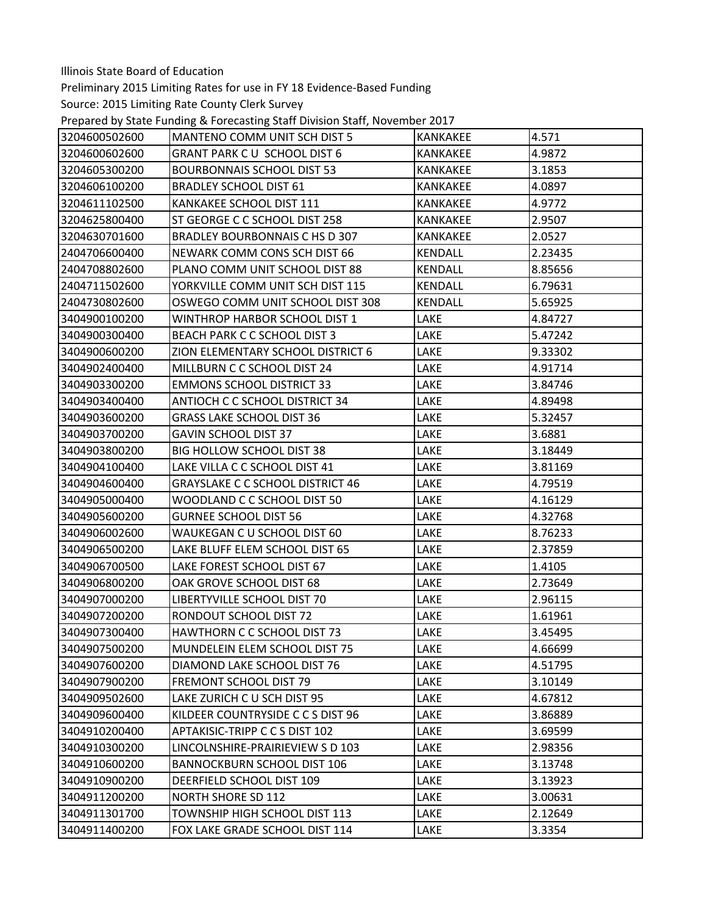Preliminary 2015 Limiting Rates for use in FY 18 Evidence‐Based Funding

Prepared by State Funding & Forecasting Staff Division Staff, November 2017

| 3204600502600 | MANTENO COMM UNIT SCH DIST 5            | <b>KANKAKEE</b> | 4.571   |
|---------------|-----------------------------------------|-----------------|---------|
| 3204600602600 | GRANT PARK CU SCHOOL DIST 6             | <b>KANKAKEE</b> | 4.9872  |
| 3204605300200 | <b>BOURBONNAIS SCHOOL DIST 53</b>       | <b>KANKAKEE</b> | 3.1853  |
| 3204606100200 | <b>BRADLEY SCHOOL DIST 61</b>           | <b>KANKAKEE</b> | 4.0897  |
| 3204611102500 | KANKAKEE SCHOOL DIST 111                | <b>KANKAKEE</b> | 4.9772  |
| 3204625800400 | ST GEORGE C C SCHOOL DIST 258           | <b>KANKAKEE</b> | 2.9507  |
| 3204630701600 | BRADLEY BOURBONNAIS C HS D 307          | <b>KANKAKEE</b> | 2.0527  |
| 2404706600400 | NEWARK COMM CONS SCH DIST 66            | <b>KENDALL</b>  | 2.23435 |
| 2404708802600 | PLANO COMM UNIT SCHOOL DIST 88          | KENDALL         | 8.85656 |
| 2404711502600 | YORKVILLE COMM UNIT SCH DIST 115        | <b>KENDALL</b>  | 6.79631 |
| 2404730802600 | OSWEGO COMM UNIT SCHOOL DIST 308        | KENDALL         | 5.65925 |
| 3404900100200 | WINTHROP HARBOR SCHOOL DIST 1           | LAKE            | 4.84727 |
| 3404900300400 | BEACH PARK C C SCHOOL DIST 3            | LAKE            | 5.47242 |
| 3404900600200 | ZION ELEMENTARY SCHOOL DISTRICT 6       | LAKE            | 9.33302 |
| 3404902400400 | MILLBURN C C SCHOOL DIST 24             | LAKE            | 4.91714 |
| 3404903300200 | <b>EMMONS SCHOOL DISTRICT 33</b>        | LAKE            | 3.84746 |
| 3404903400400 | ANTIOCH C C SCHOOL DISTRICT 34          | LAKE            | 4.89498 |
| 3404903600200 | <b>GRASS LAKE SCHOOL DIST 36</b>        | LAKE            | 5.32457 |
| 3404903700200 | <b>GAVIN SCHOOL DIST 37</b>             | LAKE            | 3.6881  |
| 3404903800200 | <b>BIG HOLLOW SCHOOL DIST 38</b>        | LAKE            | 3.18449 |
| 3404904100400 | LAKE VILLA C C SCHOOL DIST 41           | LAKE            | 3.81169 |
| 3404904600400 | <b>GRAYSLAKE C C SCHOOL DISTRICT 46</b> | LAKE            | 4.79519 |
| 3404905000400 | WOODLAND C C SCHOOL DIST 50             | LAKE            | 4.16129 |
| 3404905600200 | <b>GURNEE SCHOOL DIST 56</b>            | LAKE            | 4.32768 |
| 3404906002600 | WAUKEGAN C U SCHOOL DIST 60             | LAKE            | 8.76233 |
| 3404906500200 | LAKE BLUFF ELEM SCHOOL DIST 65          | LAKE            | 2.37859 |
| 3404906700500 | LAKE FOREST SCHOOL DIST 67              | LAKE            | 1.4105  |
| 3404906800200 | OAK GROVE SCHOOL DIST 68                | LAKE            | 2.73649 |
| 3404907000200 | LIBERTYVILLE SCHOOL DIST 70             | LAKE            | 2.96115 |
| 3404907200200 | RONDOUT SCHOOL DIST 72                  | LAKE            | 1.61961 |
| 3404907300400 | HAWTHORN C C SCHOOL DIST 73             | LAKE            | 3.45495 |
| 3404907500200 | MUNDELEIN ELEM SCHOOL DIST 75           | LAKE            | 4.66699 |
| 3404907600200 | DIAMOND LAKE SCHOOL DIST 76             | LAKE            | 4.51795 |
| 3404907900200 | <b>FREMONT SCHOOL DIST 79</b>           | LAKE            | 3.10149 |
| 3404909502600 | LAKE ZURICH C U SCH DIST 95             | LAKE            | 4.67812 |
| 3404909600400 | KILDEER COUNTRYSIDE C C S DIST 96       | LAKE            | 3.86889 |
| 3404910200400 | APTAKISIC-TRIPP C C S DIST 102          | LAKE            | 3.69599 |
| 3404910300200 | LINCOLNSHIRE-PRAIRIEVIEW S D 103        | LAKE            | 2.98356 |
| 3404910600200 | <b>BANNOCKBURN SCHOOL DIST 106</b>      | LAKE            | 3.13748 |
| 3404910900200 | DEERFIELD SCHOOL DIST 109               | LAKE            | 3.13923 |
| 3404911200200 | <b>NORTH SHORE SD 112</b>               | LAKE            | 3.00631 |
| 3404911301700 | TOWNSHIP HIGH SCHOOL DIST 113           | LAKE            | 2.12649 |
| 3404911400200 | FOX LAKE GRADE SCHOOL DIST 114          | LAKE            | 3.3354  |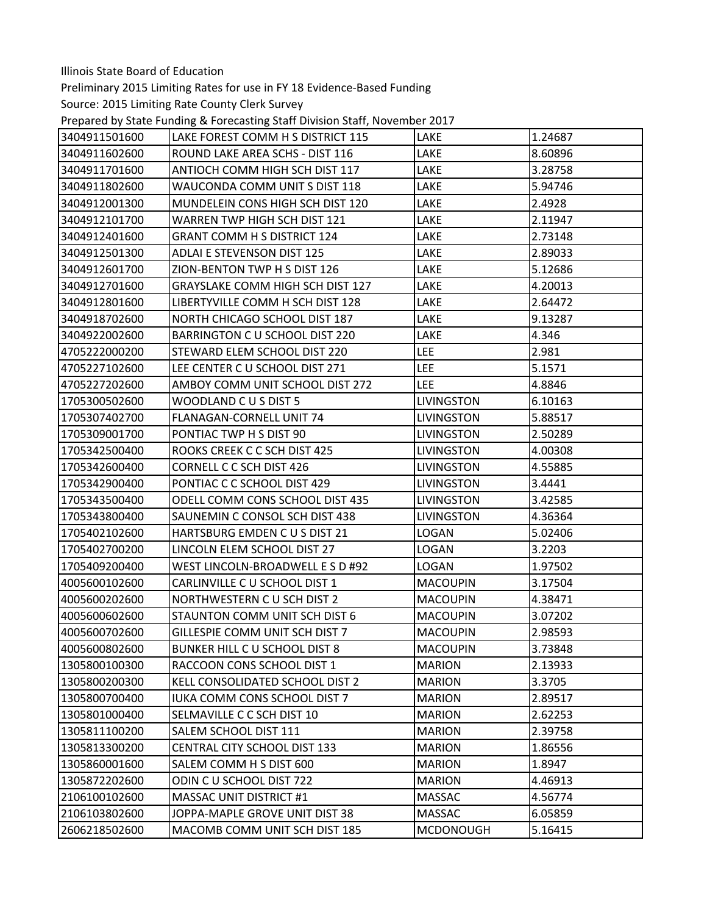Preliminary 2015 Limiting Rates for use in FY 18 Evidence‐Based Funding

Prepared by State Funding & Forecasting Staff Division Staff, November 2017

| 3404911501600 | LAKE FOREST COMM H S DISTRICT 115       | LAKE              | 1.24687 |
|---------------|-----------------------------------------|-------------------|---------|
| 3404911602600 | ROUND LAKE AREA SCHS - DIST 116         | LAKE              | 8.60896 |
| 3404911701600 | ANTIOCH COMM HIGH SCH DIST 117          | LAKE              | 3.28758 |
| 3404911802600 | WAUCONDA COMM UNIT S DIST 118           | LAKE              | 5.94746 |
| 3404912001300 | MUNDELEIN CONS HIGH SCH DIST 120        | LAKE              | 2.4928  |
| 3404912101700 | WARREN TWP HIGH SCH DIST 121            | LAKE              | 2.11947 |
| 3404912401600 | <b>GRANT COMM H S DISTRICT 124</b>      | LAKE              | 2.73148 |
| 3404912501300 | <b>ADLAI E STEVENSON DIST 125</b>       | LAKE              | 2.89033 |
| 3404912601700 | ZION-BENTON TWP H S DIST 126            | LAKE              | 5.12686 |
| 3404912701600 | <b>GRAYSLAKE COMM HIGH SCH DIST 127</b> | LAKE              | 4.20013 |
| 3404912801600 | LIBERTYVILLE COMM H SCH DIST 128        | LAKE              | 2.64472 |
| 3404918702600 | NORTH CHICAGO SCHOOL DIST 187           | LAKE              | 9.13287 |
| 3404922002600 | BARRINGTON C U SCHOOL DIST 220          | LAKE              | 4.346   |
| 4705222000200 | STEWARD ELEM SCHOOL DIST 220            | LEE               | 2.981   |
| 4705227102600 | LEE CENTER C U SCHOOL DIST 271          | <b>LEE</b>        | 5.1571  |
| 4705227202600 | AMBOY COMM UNIT SCHOOL DIST 272         | LEE               | 4.8846  |
| 1705300502600 | WOODLAND CUS DIST 5                     | <b>LIVINGSTON</b> | 6.10163 |
| 1705307402700 | <b>FLANAGAN-CORNELL UNIT 74</b>         | LIVINGSTON        | 5.88517 |
| 1705309001700 | PONTIAC TWP H S DIST 90                 | <b>LIVINGSTON</b> | 2.50289 |
| 1705342500400 | ROOKS CREEK C C SCH DIST 425            | <b>LIVINGSTON</b> | 4.00308 |
| 1705342600400 | CORNELL C C SCH DIST 426                | <b>LIVINGSTON</b> | 4.55885 |
| 1705342900400 | PONTIAC C C SCHOOL DIST 429             | <b>LIVINGSTON</b> | 3.4441  |
| 1705343500400 | ODELL COMM CONS SCHOOL DIST 435         | <b>LIVINGSTON</b> | 3.42585 |
| 1705343800400 | SAUNEMIN C CONSOL SCH DIST 438          | <b>LIVINGSTON</b> | 4.36364 |
| 1705402102600 | HARTSBURG EMDEN CUS DIST 21             | LOGAN             | 5.02406 |
| 1705402700200 | LINCOLN ELEM SCHOOL DIST 27             | <b>LOGAN</b>      | 3.2203  |
| 1705409200400 | WEST LINCOLN-BROADWELL E S D #92        | LOGAN             | 1.97502 |
| 4005600102600 | CARLINVILLE C U SCHOOL DIST 1           | <b>MACOUPIN</b>   | 3.17504 |
| 4005600202600 | NORTHWESTERN CU SCH DIST 2              | <b>MACOUPIN</b>   | 4.38471 |
| 4005600602600 | STAUNTON COMM UNIT SCH DIST 6           | <b>MACOUPIN</b>   | 3.07202 |
| 4005600702600 | GILLESPIE COMM UNIT SCH DIST 7          | <b>MACOUPIN</b>   | 2.98593 |
| 4005600802600 | <b>BUNKER HILL C U SCHOOL DIST 8</b>    | <b>MACOUPIN</b>   | 3.73848 |
| 1305800100300 | RACCOON CONS SCHOOL DIST 1              | <b>MARION</b>     | 2.13933 |
| 1305800200300 | KELL CONSOLIDATED SCHOOL DIST 2         | <b>MARION</b>     | 3.3705  |
| 1305800700400 | IUKA COMM CONS SCHOOL DIST 7            | <b>MARION</b>     | 2.89517 |
| 1305801000400 | SELMAVILLE C C SCH DIST 10              | <b>MARION</b>     | 2.62253 |
| 1305811100200 | SALEM SCHOOL DIST 111                   | <b>MARION</b>     | 2.39758 |
| 1305813300200 | <b>CENTRAL CITY SCHOOL DIST 133</b>     | <b>MARION</b>     | 1.86556 |
| 1305860001600 | SALEM COMM H S DIST 600                 | <b>MARION</b>     | 1.8947  |
| 1305872202600 | ODIN C U SCHOOL DIST 722                | <b>MARION</b>     | 4.46913 |
| 2106100102600 | <b>MASSAC UNIT DISTRICT #1</b>          | <b>MASSAC</b>     | 4.56774 |
| 2106103802600 | JOPPA-MAPLE GROVE UNIT DIST 38          | <b>MASSAC</b>     | 6.05859 |
| 2606218502600 | MACOMB COMM UNIT SCH DIST 185           | <b>MCDONOUGH</b>  | 5.16415 |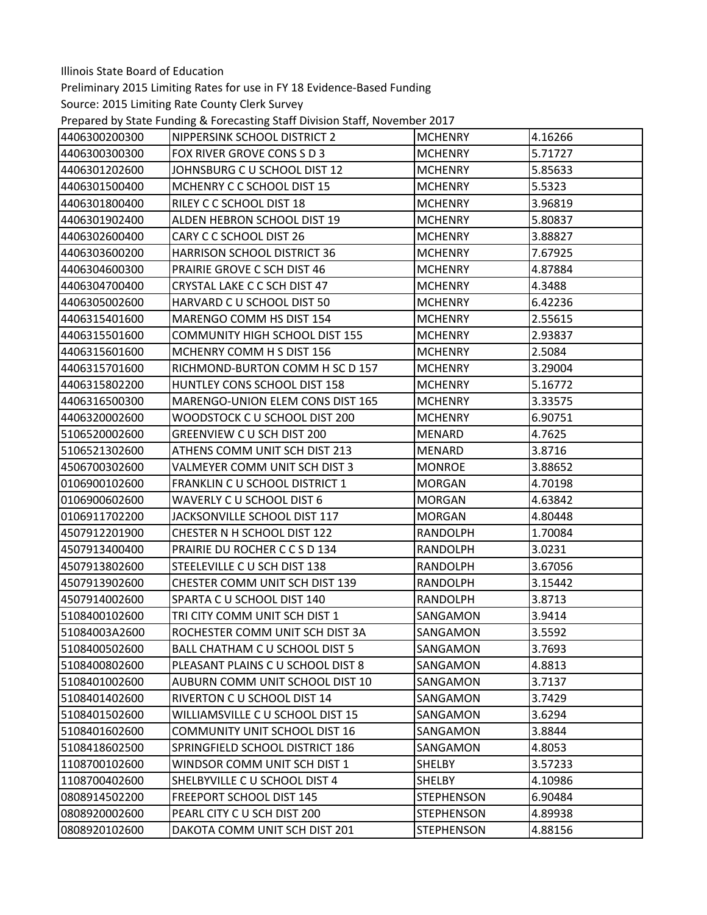Preliminary 2015 Limiting Rates for use in FY 18 Evidence‐Based Funding

Prepared by State Funding & Forecasting Staff Division Staff, November 2017

| 4406300200300 | NIPPERSINK SCHOOL DISTRICT 2         | <b>MCHENRY</b>    | 4.16266 |
|---------------|--------------------------------------|-------------------|---------|
| 4406300300300 | FOX RIVER GROVE CONS S D 3           | <b>MCHENRY</b>    | 5.71727 |
| 4406301202600 | JOHNSBURG C U SCHOOL DIST 12         | <b>MCHENRY</b>    | 5.85633 |
| 4406301500400 | MCHENRY C C SCHOOL DIST 15           | <b>MCHENRY</b>    | 5.5323  |
| 4406301800400 | RILEY C C SCHOOL DIST 18             | <b>MCHENRY</b>    | 3.96819 |
| 4406301902400 | ALDEN HEBRON SCHOOL DIST 19          | <b>MCHENRY</b>    | 5.80837 |
| 4406302600400 | CARY C C SCHOOL DIST 26              | <b>MCHENRY</b>    | 3.88827 |
| 4406303600200 | <b>HARRISON SCHOOL DISTRICT 36</b>   | <b>MCHENRY</b>    | 7.67925 |
| 4406304600300 | PRAIRIE GROVE C SCH DIST 46          | <b>MCHENRY</b>    | 4.87884 |
| 4406304700400 | CRYSTAL LAKE C C SCH DIST 47         | <b>MCHENRY</b>    | 4.3488  |
| 4406305002600 | HARVARD C U SCHOOL DIST 50           | <b>MCHENRY</b>    | 6.42236 |
| 4406315401600 | MARENGO COMM HS DIST 154             | <b>MCHENRY</b>    | 2.55615 |
| 4406315501600 | COMMUNITY HIGH SCHOOL DIST 155       | <b>MCHENRY</b>    | 2.93837 |
| 4406315601600 | MCHENRY COMM H S DIST 156            | <b>MCHENRY</b>    | 2.5084  |
| 4406315701600 | RICHMOND-BURTON COMM H SC D 157      | <b>MCHENRY</b>    | 3.29004 |
| 4406315802200 | HUNTLEY CONS SCHOOL DIST 158         | <b>MCHENRY</b>    | 5.16772 |
| 4406316500300 | MARENGO-UNION ELEM CONS DIST 165     | <b>MCHENRY</b>    | 3.33575 |
| 4406320002600 | WOODSTOCK C U SCHOOL DIST 200        | <b>MCHENRY</b>    | 6.90751 |
| 5106520002600 | GREENVIEW C U SCH DIST 200           | <b>MENARD</b>     | 4.7625  |
| 5106521302600 | ATHENS COMM UNIT SCH DIST 213        | MENARD            | 3.8716  |
| 4506700302600 | VALMEYER COMM UNIT SCH DIST 3        | <b>MONROE</b>     | 3.88652 |
| 0106900102600 | FRANKLIN C U SCHOOL DISTRICT 1       | <b>MORGAN</b>     | 4.70198 |
| 0106900602600 | WAVERLY C U SCHOOL DIST 6            | <b>MORGAN</b>     | 4.63842 |
| 0106911702200 | JACKSONVILLE SCHOOL DIST 117         | <b>MORGAN</b>     | 4.80448 |
| 4507912201900 | CHESTER N H SCHOOL DIST 122          | RANDOLPH          | 1.70084 |
| 4507913400400 | PRAIRIE DU ROCHER C C S D 134        | <b>RANDOLPH</b>   | 3.0231  |
| 4507913802600 | STEELEVILLE C U SCH DIST 138         | RANDOLPH          | 3.67056 |
| 4507913902600 | CHESTER COMM UNIT SCH DIST 139       | <b>RANDOLPH</b>   | 3.15442 |
| 4507914002600 | SPARTA C U SCHOOL DIST 140           | RANDOLPH          | 3.8713  |
| 5108400102600 | TRI CITY COMM UNIT SCH DIST 1        | SANGAMON          | 3.9414  |
| 51084003A2600 | ROCHESTER COMM UNIT SCH DIST 3A      | SANGAMON          | 3.5592  |
| 5108400502600 | BALL CHATHAM C U SCHOOL DIST 5       | SANGAMON          | 3.7693  |
| 5108400802600 | PLEASANT PLAINS C U SCHOOL DIST 8    | SANGAMON          | 4.8813  |
| 5108401002600 | AUBURN COMM UNIT SCHOOL DIST 10      | SANGAMON          | 3.7137  |
| 5108401402600 | RIVERTON C U SCHOOL DIST 14          | SANGAMON          | 3.7429  |
| 5108401502600 | WILLIAMSVILLE C U SCHOOL DIST 15     | SANGAMON          | 3.6294  |
| 5108401602600 | <b>COMMUNITY UNIT SCHOOL DIST 16</b> | SANGAMON          | 3.8844  |
| 5108418602500 | SPRINGFIELD SCHOOL DISTRICT 186      | SANGAMON          | 4.8053  |
| 1108700102600 | WINDSOR COMM UNIT SCH DIST 1         | <b>SHELBY</b>     | 3.57233 |
| 1108700402600 | SHELBYVILLE C U SCHOOL DIST 4        | <b>SHELBY</b>     | 4.10986 |
| 0808914502200 | <b>FREEPORT SCHOOL DIST 145</b>      | <b>STEPHENSON</b> | 6.90484 |
| 0808920002600 | PEARL CITY C U SCH DIST 200          | <b>STEPHENSON</b> | 4.89938 |
| 0808920102600 | DAKOTA COMM UNIT SCH DIST 201        | <b>STEPHENSON</b> | 4.88156 |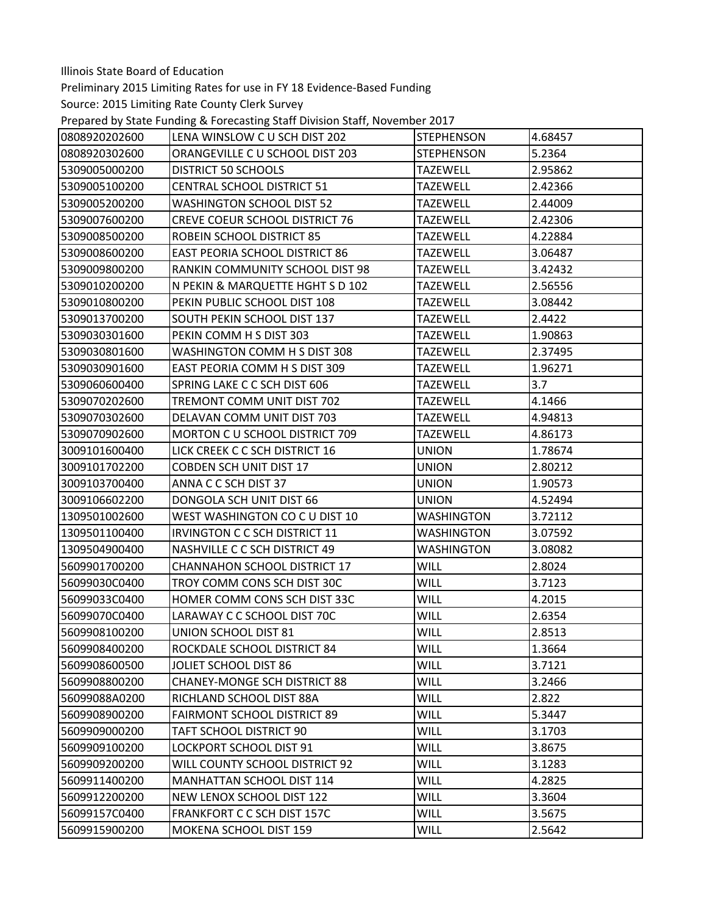Preliminary 2015 Limiting Rates for use in FY 18 Evidence‐Based Funding

Prepared by State Funding & Forecasting Staff Division Staff, November 2017

| 0808920202600 | LENA WINSLOW C U SCH DIST 202         | <b>STEPHENSON</b> | 4.68457 |
|---------------|---------------------------------------|-------------------|---------|
| 0808920302600 | ORANGEVILLE C U SCHOOL DIST 203       | <b>STEPHENSON</b> | 5.2364  |
| 5309005000200 | <b>DISTRICT 50 SCHOOLS</b>            | <b>TAZEWELL</b>   | 2.95862 |
| 5309005100200 | <b>CENTRAL SCHOOL DISTRICT 51</b>     | <b>TAZEWELL</b>   | 2.42366 |
| 5309005200200 | <b>WASHINGTON SCHOOL DIST 52</b>      | <b>TAZEWELL</b>   | 2.44009 |
| 5309007600200 | <b>CREVE COEUR SCHOOL DISTRICT 76</b> | <b>TAZEWELL</b>   | 2.42306 |
| 5309008500200 | ROBEIN SCHOOL DISTRICT 85             | <b>TAZEWELL</b>   | 4.22884 |
| 5309008600200 | <b>EAST PEORIA SCHOOL DISTRICT 86</b> | <b>TAZEWELL</b>   | 3.06487 |
| 5309009800200 | RANKIN COMMUNITY SCHOOL DIST 98       | <b>TAZEWELL</b>   | 3.42432 |
| 5309010200200 | N PEKIN & MARQUETTE HGHT S D 102      | <b>TAZEWELL</b>   | 2.56556 |
| 5309010800200 | PEKIN PUBLIC SCHOOL DIST 108          | <b>TAZEWELL</b>   | 3.08442 |
| 5309013700200 | SOUTH PEKIN SCHOOL DIST 137           | <b>TAZEWELL</b>   | 2.4422  |
| 5309030301600 | PEKIN COMM H S DIST 303               | TAZEWELL          | 1.90863 |
| 5309030801600 | WASHINGTON COMM H S DIST 308          | <b>TAZEWELL</b>   | 2.37495 |
| 5309030901600 | EAST PEORIA COMM H S DIST 309         | <b>TAZEWELL</b>   | 1.96271 |
| 5309060600400 | SPRING LAKE C C SCH DIST 606          | <b>TAZEWELL</b>   | 3.7     |
| 5309070202600 | TREMONT COMM UNIT DIST 702            | <b>TAZEWELL</b>   | 4.1466  |
| 5309070302600 | DELAVAN COMM UNIT DIST 703            | <b>TAZEWELL</b>   | 4.94813 |
| 5309070902600 | MORTON C U SCHOOL DISTRICT 709        | <b>TAZEWELL</b>   | 4.86173 |
| 3009101600400 | LICK CREEK C C SCH DISTRICT 16        | <b>UNION</b>      | 1.78674 |
| 3009101702200 | <b>COBDEN SCH UNIT DIST 17</b>        | <b>UNION</b>      | 2.80212 |
| 3009103700400 | ANNA C C SCH DIST 37                  | <b>UNION</b>      | 1.90573 |
| 3009106602200 | DONGOLA SCH UNIT DIST 66              | <b>UNION</b>      | 4.52494 |
| 1309501002600 | WEST WASHINGTON CO C U DIST 10        | <b>WASHINGTON</b> | 3.72112 |
| 1309501100400 | IRVINGTON C C SCH DISTRICT 11         | <b>WASHINGTON</b> | 3.07592 |
| 1309504900400 | <b>NASHVILLE C C SCH DISTRICT 49</b>  | <b>WASHINGTON</b> | 3.08082 |
| 5609901700200 | CHANNAHON SCHOOL DISTRICT 17          | <b>WILL</b>       | 2.8024  |
| 56099030C0400 | TROY COMM CONS SCH DIST 30C           | <b>WILL</b>       | 3.7123  |
| 56099033C0400 | HOMER COMM CONS SCH DIST 33C          | <b>WILL</b>       | 4.2015  |
| 56099070C0400 | LARAWAY C C SCHOOL DIST 70C           | <b>WILL</b>       | 2.6354  |
| 5609908100200 | UNION SCHOOL DIST 81                  | <b>WILL</b>       | 2.8513  |
| 5609908400200 | ROCKDALE SCHOOL DISTRICT 84           | WILL              | 1.3664  |
| 5609908600500 | <b>JOLIET SCHOOL DIST 86</b>          | <b>WILL</b>       | 3.7121  |
| 5609908800200 | <b>CHANEY-MONGE SCH DISTRICT 88</b>   | <b>WILL</b>       | 3.2466  |
| 56099088A0200 | RICHLAND SCHOOL DIST 88A              | <b>WILL</b>       | 2.822   |
| 5609908900200 | <b>FAIRMONT SCHOOL DISTRICT 89</b>    | <b>WILL</b>       | 5.3447  |
| 5609909000200 | TAFT SCHOOL DISTRICT 90               | <b>WILL</b>       | 3.1703  |
| 5609909100200 | LOCKPORT SCHOOL DIST 91               | <b>WILL</b>       | 3.8675  |
| 5609909200200 | WILL COUNTY SCHOOL DISTRICT 92        | <b>WILL</b>       | 3.1283  |
| 5609911400200 | MANHATTAN SCHOOL DIST 114             | <b>WILL</b>       | 4.2825  |
| 5609912200200 | NEW LENOX SCHOOL DIST 122             | <b>WILL</b>       | 3.3604  |
| 56099157C0400 | FRANKFORT C C SCH DIST 157C           | <b>WILL</b>       | 3.5675  |
| 5609915900200 | MOKENA SCHOOL DIST 159                | <b>WILL</b>       | 2.5642  |